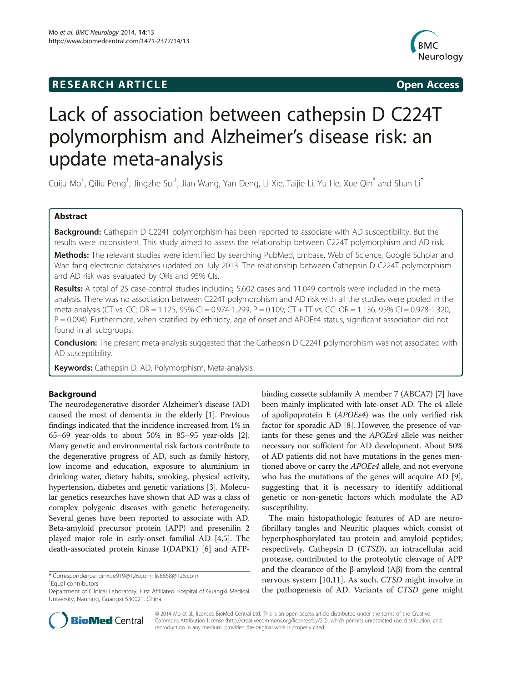## **RESEARCH ARTICLE Example 2014 12:30 The SEAR CHA RTICLE**



# Lack of association between cathepsin D C224T polymorphism and Alzheimer's disease risk: an update meta-analysis

Cuiju Mo<sup>†</sup>, Qiliu Peng<sup>†</sup>, Jingzhe Sui<sup>†</sup>, Jian Wang, Yan Deng, Li Xie, Taijie Li, Yu He, Xue Qin<sup>\*</sup> and Shan Li<sup>\*</sup>

## Abstract

Background: Cathepsin D C224T polymorphism has been reported to associate with AD susceptibility. But the results were inconsistent. This study aimed to assess the relationship between C224T polymorphism and AD risk.

Methods: The relevant studies were identified by searching PubMed, Embase, Web of Science, Google Scholar and Wan fang electronic databases updated on July 2013. The relationship between Cathepsin D C224T polymorphism and AD risk was evaluated by ORs and 95% CIs.

Results: A total of 25 case-control studies including 5,602 cases and 11,049 controls were included in the metaanalysis. There was no association between C224T polymorphism and AD risk with all the studies were pooled in the meta-analysis (CT vs. CC: OR = 1.125, 95% CI = 0.974-1.299, P = 0.109; CT + TT vs. CC: OR = 1.136, 95% CI = 0.978-1.320, P = 0.094). Furthermore, when stratified by ethnicity, age of onset and APOEE4 status, significant association did not found in all subgroups.

Conclusion: The present meta-analysis suggested that the Cathepsin D C224T polymorphism was not associated with AD susceptibility.

Keywords: Cathepsin D, AD, Polymorphism, Meta-analysis

## Background

The neurodegenerative disorder Alzheimer's disease (AD) caused the most of dementia in the elderly [\[1](#page-6-0)]. Previous findings indicated that the incidence increased from 1% in 65–69 year-olds to about 50% in 85–95 year-olds [[2](#page-6-0)]. Many genetic and environmental risk factors contribute to the degenerative progress of AD, such as family history, low income and education, exposure to aluminium in drinking water, dietary habits, smoking, physical activity, hypertension, diabetes and genetic variations [\[3](#page-6-0)]. Molecular genetics researches have shown that AD was a class of complex polygenic diseases with genetic heterogeneity. Several genes have been reported to associate with AD. Beta-amyloid precursor protein (APP) and presenilin 2 played major role in early-onset familial AD [\[4,5\]](#page-7-0). The death-associated protein kinase 1(DAPK1) [[6\]](#page-7-0) and ATP-

Equal contributors

binding cassette subfamily A member 7 (ABCA7) [[7](#page-7-0)] have been mainly implicated with late-onset AD. The ε4 allele of apolipoprotein E (APOEε4) was the only verified risk factor for sporadic AD [\[8](#page-7-0)]. However, the presence of variants for these genes and the APOEε4 allele was neither necessary nor sufficient for AD development. About 50% of AD patients did not have mutations in the genes mentioned above or carry the APOE e4 allele, and not everyone who has the mutations of the genes will acquire AD [[9](#page-7-0)], suggesting that it is necessary to identify additional genetic or non-genetic factors which modulate the AD susceptibility.

The main histopathologic features of AD are neurofibrillary tangles and Neuritic plaques which consist of hyperphosphorylated tau protein and amyloid peptides, respectively. Cathepsin D (CTSD), an intracellular acid protease, contributed to the proteolytic cleavage of APP and the clearance of the β-amyloid  $(Aβ)$  from the central nervous system [[10](#page-7-0),[11](#page-7-0)]. As such, CTSD might involve in the pathogenesis of AD. Variants of CTSD gene might



© 2014 Mo et al.; licensee BioMed Central Ltd. This is an open access article distributed under the terms of the Creative Commons Attribution License [\(http://creativecommons.org/licenses/by/2.0\)](http://creativecommons.org/licenses/by/2.0), which permits unrestricted use, distribution, and reproduction in any medium, provided the original work is properly cited.

<sup>\*</sup> Correspondence: [qinxue919@126.com](mailto:qinxue919@126.com); [lis8858@126.com](mailto:lis8858@126.com) †

Department of Clinical Laboratory, First Affiliated Hospital of Guangxi Medical University, Nanning, Guangxi 530021, China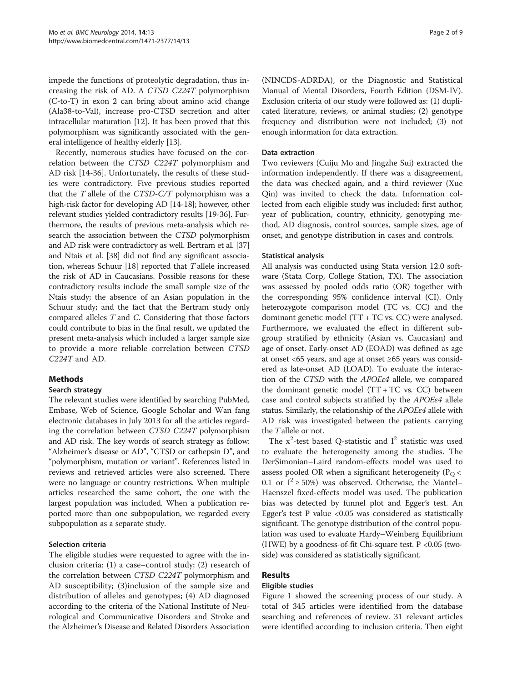impede the functions of proteolytic degradation, thus increasing the risk of AD. A CTSD C224T polymorphism (C-to-T) in exon 2 can bring about amino acid change (Ala38-to-Val), increase pro-CTSD secretion and alter intracellular maturation [\[12\]](#page-7-0). It has been proved that this polymorphism was significantly associated with the general intelligence of healthy elderly [[13](#page-7-0)].

Recently, numerous studies have focused on the correlation between the CTSD C224T polymorphism and AD risk [[14-36](#page-7-0)]. Unfortunately, the results of these studies were contradictory. Five previous studies reported that the  $T$  allele of the CTSD-C/T polymorphism was a high-risk factor for developing AD [[14](#page-7-0)-[18\]](#page-7-0); however, other relevant studies yielded contradictory results [\[19-36](#page-7-0)]. Furthermore, the results of previous meta-analysis which research the association between the CTSD polymorphism and AD risk were contradictory as well. Bertram et al. [[37](#page-7-0)] and Ntais et al. [[38\]](#page-7-0) did not find any significant association, whereas Schuur [\[18](#page-7-0)] reported that T allele increased the risk of AD in Caucasians. Possible reasons for these contradictory results include the small sample size of the Ntais study; the absence of an Asian population in the Schuur study; and the fact that the Bertram study only compared alleles T and C. Considering that those factors could contribute to bias in the final result, we updated the present meta-analysis which included a larger sample size to provide a more reliable correlation between CTSD C224T and AD.

## Methods

## Search strategy

The relevant studies were identified by searching PubMed, Embase, Web of Science, Google Scholar and Wan fang electronic databases in July 2013 for all the articles regarding the correlation between CTSD C224T polymorphism and AD risk. The key words of search strategy as follow: "Alzheimer's disease or AD", "CTSD or cathepsin D", and "polymorphism, mutation or variant". References listed in reviews and retrieved articles were also screened. There were no language or country restrictions. When multiple articles researched the same cohort, the one with the largest population was included. When a publication reported more than one subpopulation, we regarded every subpopulation as a separate study.

## Selection criteria

The eligible studies were requested to agree with the inclusion criteria: (1) a case–control study; (2) research of the correlation between CTSD C224T polymorphism and AD susceptibility; (3)inclusion of the sample size and distribution of alleles and genotypes; (4) AD diagnosed according to the criteria of the National Institute of Neurological and Communicative Disorders and Stroke and the Alzheimer's Disease and Related Disorders Association (NINCDS-ADRDA), or the Diagnostic and Statistical Manual of Mental Disorders, Fourth Edition (DSM-IV). Exclusion criteria of our study were followed as: (1) duplicated literature, reviews, or animal studies; (2) genotype frequency and distribution were not included; (3) not enough information for data extraction.

#### Data extraction

Two reviewers (Cuiju Mo and Jingzhe Sui) extracted the information independently. If there was a disagreement, the data was checked again, and a third reviewer (Xue Qin) was invited to check the data. Information collected from each eligible study was included: first author, year of publication, country, ethnicity, genotyping method, AD diagnosis, control sources, sample sizes, age of onset, and genotype distribution in cases and controls.

#### Statistical analysis

All analysis was conducted using Stata version 12.0 software (Stata Corp, College Station, TX). The association was assessed by pooled odds ratio (OR) together with the corresponding 95% confidence interval (CI). Only heterozygote comparison model (TC vs. CC) and the dominant genetic model (TT + TC vs. CC) were analysed. Furthermore, we evaluated the effect in different subgroup stratified by ethnicity (Asian vs. Caucasian) and age of onset. Early-onset AD (EOAD) was defined as age at onset <65 years, and age at onset ≥65 years was considered as late-onset AD (LOAD). To evaluate the interaction of the CTSD with the APOEε4 allele, we compared the dominant genetic model  $(TT + TC \text{ vs. CC})$  between case and control subjects stratified by the APOEε4 allele status. Similarly, the relationship of the APOEε4 allele with AD risk was investigated between the patients carrying the Tallele or not.

The  $x^2$ -test based Q-statistic and  $I^2$  statistic was used to evaluate the heterogeneity among the studies. The DerSimonian–Laird random-effects model was used to assess pooled OR when a significant heterogeneity ( $P<sub>O</sub>$  < 0.1 or  $I^2 \ge 50\%$ ) was observed. Otherwise, the Mantel– Haenszel fixed-effects model was used. The publication bias was detected by funnel plot and Egger's test. An Egger's test P value <0.05 was considered as statistically significant. The genotype distribution of the control population was used to evaluate Hardy–Weinberg Equilibrium (HWE) by a goodness-of-fit Chi-square test.  $P < 0.05$  (twoside) was considered as statistically significant.

## Results

## Eligible studies

Figure [1](#page-2-0) showed the screening process of our study. A total of 345 articles were identified from the database searching and references of review. 31 relevant articles were identified according to inclusion criteria. Then eight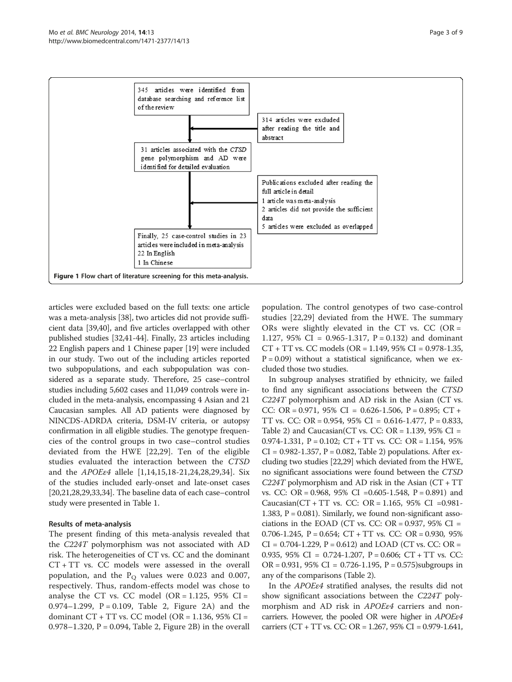<span id="page-2-0"></span>

articles were excluded based on the full texts: one article was a meta-analysis [[38](#page-7-0)], two articles did not provide sufficient data [\[39,40](#page-7-0)], and five articles overlapped with other published studies [\[32,41](#page-7-0)[-44\]](#page-8-0). Finally, 23 articles including 22 English papers and 1 Chinese paper [[19](#page-7-0)] were included in our study. Two out of the including articles reported two subpopulations, and each subpopulation was considered as a separate study. Therefore, 25 case–control studies including 5,602 cases and 11,049 controls were included in the meta-analysis, encompassing 4 Asian and 21 Caucasian samples. All AD patients were diagnosed by NINCDS-ADRDA criteria, DSM-IV criteria, or autopsy confirmation in all eligible studies. The genotype frequencies of the control groups in two case–control studies deviated from the HWE [\[22](#page-7-0),[29\]](#page-7-0). Ten of the eligible studies evaluated the interaction between the CTSD and the APOEε4 allele [\[1](#page-6-0),[14,15,18-21,24,28,29](#page-7-0),[34\]](#page-7-0). Six of the studies included early-onset and late-onset cases [[20,21,28,29](#page-7-0),[33,34\]](#page-7-0). The baseline data of each case–control study were presented in Table [1](#page-3-0).

## Results of meta-analysis

The present finding of this meta-analysis revealed that the C224T polymorphism was not associated with AD risk. The heterogeneities of CT vs. CC and the dominant CT + TT vs. CC models were assessed in the overall population, and the  $P_Q$  values were 0.023 and 0.007, respectively. Thus, random-effects model was chose to analyse the CT vs. CC model (OR =  $1.125$ , 95% CI = 0.974–1.299,  $P = 0.109$ , Table [2](#page-4-0), Figure [2A](#page-4-0)) and the dominant  $CT + TT$  vs.  $CC$  model ( $OR = 1.136$ ,  $95\%$   $CI =$ 0.978–1.320,  $P = 0.094$ , Table [2,](#page-4-0) Figure [2B](#page-4-0)) in the overall population. The control genotypes of two case-control studies [[22,29](#page-7-0)] deviated from the HWE. The summary ORs were slightly elevated in the CT vs. CC (OR = 1.127, 95% CI =  $0.965 - 1.317$ , P = 0.132) and dominant CT + TT vs. CC models (OR = 1.149, 95% CI = 0.978-1.35,  $P = 0.09$ ) without a statistical significance, when we excluded those two studies.

In subgroup analyses stratified by ethnicity, we failed to find any significant associations between the CTSD C224T polymorphism and AD risk in the Asian (CT vs. CC: OR =  $0.971$ ,  $95\%$  CI =  $0.626 - 1.506$ , P =  $0.895$ ; CT + TT vs. CC: OR = 0.954, 95% CI = 0.616-1.477, P = 0.833, Table [2](#page-4-0)) and Caucasian(CT vs. CC: OR =  $1.139$ ,  $95\%$  CI = 0.974-1.331,  $P = 0.102$ ;  $CT + TT$  vs.  $CC$ :  $OR = 1.154$ , 95%  $CI = 0.982 - 1.357$ ,  $P = 0.082$ , Table [2\)](#page-4-0) populations. After excluding two studies [\[22,29](#page-7-0)] which deviated from the HWE, no significant associations were found between the CTSD  $C224T$  polymorphism and AD risk in the Asian ( $CT + TT$ vs. CC: OR = 0.968, 95% CI =0.605-1.548, P = 0.891) and Caucasian(CT + TT vs. CC: OR = 1.165, 95% CI =0.981- 1.383,  $P = 0.081$ ). Similarly, we found non-significant associations in the EOAD (CT vs. CC:  $OR = 0.937$ , 95% CI = 0.706-1.245,  $P = 0.654$ ;  $CT + TT$  vs.  $CC: OR = 0.930$ , 95%  $CI = 0.704 - 1.229$ ,  $P = 0.612$ ) and LOAD (CT vs. CC: OR = 0.935, 95% CI = 0.724-1.207, P = 0.606; CT + TT vs. CC:  $OR = 0.931$ , 95% CI = 0.726-1.195, P = 0.575)subgroups in any of the comparisons (Table [2](#page-4-0)).

In the APOEε4 stratified analyses, the results did not show significant associations between the C224T polymorphism and AD risk in *APOEε4* carriers and noncarriers. However, the pooled OR were higher in APOEε4 carriers (CT + TT vs. CC: OR = 1.267, 95% CI = 0.979-1.641,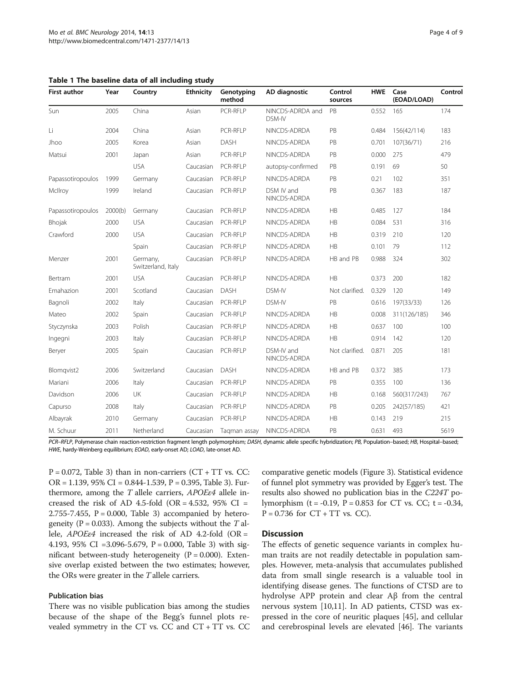<span id="page-3-0"></span>

|  |  |  |  |  |  | Table 1 The baseline data of all including study |  |
|--|--|--|--|--|--|--------------------------------------------------|--|
|--|--|--|--|--|--|--------------------------------------------------|--|

| <b>First author</b> | Year    | Country                        | <b>Ethnicity</b> | Genotyping<br>method | AD diagnostic              | Control<br>sources | <b>HWE</b> | Case<br>(EOAD/LOAD) | Control |
|---------------------|---------|--------------------------------|------------------|----------------------|----------------------------|--------------------|------------|---------------------|---------|
| Sun                 | 2005    | China                          | Asian            | PCR-RFIP             | NINCDS-ADRDA and<br>DSM-IV | PB                 | 0.552      | 165                 | 174     |
| Li                  | 2004    | China                          | Asian            | <b>PCR-RFLP</b>      | NINCDS-ADRDA               | PB                 | 0.484      | 156(42/114)         | 183     |
| Jhoo                | 2005    | Korea                          | Asian            | DASH                 | NINCDS-ADRDA               | PB                 | 0.701      | 107(36/71)          | 216     |
| Matsui              | 2001    | Japan                          | Asian            | PCR-RFLP             | NINCDS-ADRDA               | PB                 | 0.000      | 275                 | 479     |
|                     |         | <b>USA</b>                     | Caucasian        | <b>PCR-RFLP</b>      | autopsy-confirmed          | PB                 | 0.191      | 69                  | 50      |
| Papassotiropoulos   | 1999    | Germany                        | Caucasian        | <b>PCR-RFLP</b>      | NINCDS-ADRDA               | PB                 | 0.21       | 102                 | 351     |
| McIlroy             | 1999    | Ireland                        | Caucasian        | <b>PCR-RFLP</b>      | DSM IV and<br>NINCDS-ADRDA | PB                 | 0.367      | 183                 | 187     |
| Papassotiropoulos   | 2000(b) | Germany                        | Caucasian        | PCR-RFLP             | NINCDS-ADRDA               | HB                 | 0.485      | 127                 | 184     |
| Bhojak              | 2000    | <b>USA</b>                     | Caucasian        | <b>PCR-RFLP</b>      | NINCDS-ADRDA               | <b>HB</b>          | 0.084      | 531                 | 316     |
| Crawford            | 2000    | <b>USA</b>                     | Caucasian        | <b>PCR-RFLP</b>      | NINCDS-ADRDA               | HB                 | 0.319      | 210                 | 120     |
|                     |         | Spain                          | Caucasian        | <b>PCR-RFLP</b>      | NINCDS-ADRDA               | <b>HB</b>          | 0.101      | 79                  | 112     |
| Menzer              | 2001    | Germany,<br>Switzerland, Italy | Caucasian        | <b>PCR-RFLP</b>      | NINCDS-ADRDA               | HB and PB          | 0.988      | 324                 | 302     |
| Bertram             | 2001    | <b>USA</b>                     | Caucasian        | <b>PCR-RFLP</b>      | NINCDS-ADRDA               | HB                 | 0.373      | 200                 | 182     |
| Emahazion           | 2001    | Scotland                       | Caucasian        | <b>DASH</b>          | DSM-IV                     | Not clarified.     | 0.329      | 120                 | 149     |
| Bagnoli             | 2002    | Italy                          | Caucasian        | <b>PCR-RFLP</b>      | DSM-IV                     | PB                 | 0.616      | 197(33/33)          | 126     |
| Mateo               | 2002    | Spain                          | Caucasian        | <b>PCR-RFLP</b>      | NINCDS-ADRDA               | HB                 | 0.008      | 311(126/185)        | 346     |
| Styczynska          | 2003    | Polish                         | Caucasian        | PCR-RFLP             | NINCDS-ADRDA               | HB                 | 0.637      | 100                 | 100     |
| Ingegni             | 2003    | Italy                          | Caucasian        | <b>PCR-RFLP</b>      | NINCDS-ADRDA               | HB                 | 0.914      | 142                 | 120     |
| Beryer              | 2005    | Spain                          | Caucasian        | <b>PCR-RFLP</b>      | DSM-IV and<br>NINCDS-ADRDA | Not clarified.     | 0.871      | 205                 | 181     |
| Blomqvist2          | 2006    | Switzerland                    | Caucasian        | <b>DASH</b>          | NINCDS-ADRDA               | HB and PB          | 0.372      | 385                 | 173     |
| Mariani             | 2006    | Italy                          | Caucasian        | <b>PCR-RFLP</b>      | NINCDS-ADRDA               | PB                 | 0.355      | 100                 | 136     |
| Davidson            | 2006    | UK                             | Caucasian        | <b>PCR-RFLP</b>      | NINCDS-ADRDA               | HB                 | 0.168      | 560(317/243)        | 767     |
| Capurso             | 2008    | Italy                          | Caucasian        | PCR-RFLP             | NINCDS-ADRDA               | PB                 | 0.205      | 242(57/185)         | 421     |
| Albayrak            | 2010    | Germany                        | Caucasian        | PCR-RFLP             | NINCDS-ADRDA               | HR                 | 0.143      | 219                 | 215     |
| M. Schuur           | 2011    | Netherland                     | Caucasian        | Taqman assay         | NINCDS-ADRDA               | PB                 | 0.631      | 493                 | 5619    |

PCR-RFLP, Polymerase chain reaction-restriction fragment length polymorphism; DASH, dynamic allele specific hybridization; PB, Population-based; HB, Hospital-based; HWE, hardy-Weinberg equilibrium; EOAD, early-onset AD; LOAD, late-onset AD.

 $P = 0.072$ , Table [3](#page-5-0)) than in non-carriers (CT + TT vs. CC: OR = 1.139, 95% CI = 0.844-1.539, P = 0.395, Table [3\)](#page-5-0). Furthermore, among the T allele carriers, APOEε4 allele increased the risk of AD 4.5-fold (OR = 4.532, 95% CI = 2.755-7.455,  $P = 0.000$ , Table [3\)](#page-5-0) accompanied by heterogeneity ( $P = 0.033$ ). Among the subjects without the T allele,  $APOEe4$  increased the risk of AD 4.2-fold (OR = 4.193, 95% CI =3.096-5.679, P = 0.000, Table [3\)](#page-5-0) with significant between-study heterogeneity  $(P = 0.000)$ . Extensive overlap existed between the two estimates; however, the ORs were greater in the T allele carriers.

## Publication bias

There was no visible publication bias among the studies because of the shape of the Begg's funnel plots revealed symmetry in the CT vs. CC and CT + TT vs. CC

comparative genetic models (Figure [3](#page-5-0)). Statistical evidence of funnel plot symmetry was provided by Egger's test. The results also showed no publication bias in the C224T polymorphism (t = -0.19, P = 0.853 for CT vs. CC; t = -0.34,  $P = 0.736$  for  $CT + TT$  vs.  $CC$ ).

#### **Discussion**

The effects of genetic sequence variants in complex human traits are not readily detectable in population samples. However, meta-analysis that accumulates published data from small single research is a valuable tool in identifying disease genes. The functions of CTSD are to hydrolyse APP protein and clear Aβ from the central nervous system [\[10,11](#page-7-0)]. In AD patients, CTSD was expressed in the core of neuritic plaques [[45](#page-8-0)], and cellular and cerebrospinal levels are elevated [[46\]](#page-8-0). The variants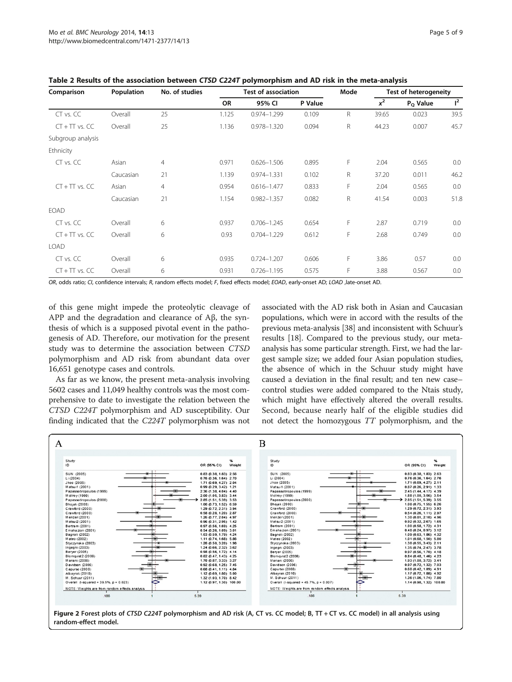| Comparison         | Population | No. of studies |       | <b>Test of association</b> |         | Mode | <b>Test of heterogeneity</b> |                    |       |
|--------------------|------------|----------------|-------|----------------------------|---------|------|------------------------------|--------------------|-------|
|                    |            |                | OR    | 95% CI                     | P Value |      | $x^2$                        | $P_{\Omega}$ Value | $I^2$ |
| CT vs. CC          | Overall    | 25             | 1.125 | 0.974-1.299                | 0.109   | R.   | 39.65                        | 0.023              | 39.5  |
| $CT + TT$ vs. $CC$ | Overall    | 25             | 1.136 | 0.978-1.320                | 0.094   | R    | 44.23                        | 0.007              | 45.7  |
| Subgroup analysis  |            |                |       |                            |         |      |                              |                    |       |
| Ethnicity          |            |                |       |                            |         |      |                              |                    |       |
| CT vs. CC          | Asian      | $\overline{4}$ | 0.971 | $0.626 - 1.506$            | 0.895   | F    | 2.04                         | 0.565              | 0.0   |
|                    | Caucasian  | 21             | 1.139 | $0.974 - 1.331$            | 0.102   | R.   | 37.20                        | 0.011              | 46.2  |
| $CT + TT$ vs. $CC$ | Asian      | $\overline{4}$ | 0.954 | $0.616 - 1.477$            | 0.833   | F    | 2.04                         | 0.565              | 0.0   |
|                    | Caucasian  | 21             | 1.154 | $0.982 - 1.357$            | 0.082   | R    | 41.54                        | 0.003              | 51.8  |
| <b>EOAD</b>        |            |                |       |                            |         |      |                              |                    |       |
| CT vs. CC          | Overall    | 6              | 0.937 | $0.706 - 1.245$            | 0.654   | F    | 2.87                         | 0.719              | 0.0   |
| $CT + TT$ vs. $CC$ | Overall    | 6              | 0.93  | $0.704 - 1.229$            | 0.612   | F    | 2.68                         | 0.749              | 0.0   |
| <b>LOAD</b>        |            |                |       |                            |         |      |                              |                    |       |
| CT vs. CC          | Overall    | 6              | 0.935 | $0.724 - 1.207$            | 0.606   | F    | 3.86                         | 0.57               | 0.0   |
| $CT + TT$ vs. $CC$ | Overall    | 6              | 0.931 | $0.726 - 1.195$            | 0.575   | F    | 3.88                         | 0.567              | 0.0   |

<span id="page-4-0"></span>Table 2 Results of the association between CTSD C224T polymorphism and AD risk in the meta-analysis

OR, odds ratio; CI, confidence intervals; R, random effects model; F, fixed effects model; EOAD, early-onset AD; LOAD ,late-onset AD.

of this gene might impede the proteolytic cleavage of APP and the degradation and clearance of Aβ, the synthesis of which is a supposed pivotal event in the pathogenesis of AD. Therefore, our motivation for the present study was to determine the association between CTSD polymorphism and AD risk from abundant data over 16,651 genotype cases and controls.

As far as we know, the present meta-analysis involving 5602 cases and 11,049 healthy controls was the most comprehensive to date to investigate the relation between the CTSD C224T polymorphism and AD susceptibility. Our finding indicated that the C224T polymorphism was not associated with the AD risk both in Asian and Caucasian populations, which were in accord with the results of the previous meta-analysis [\[38\]](#page-7-0) and inconsistent with Schuur's results [\[18\]](#page-7-0). Compared to the previous study, our metaanalysis has some particular strength. First, we had the largest sample size; we added four Asian population studies, the absence of which in the Schuur study might have caused a deviation in the final result; and ten new case– control studies were added compared to the Ntais study, which might have effectively altered the overall results. Second, because nearly half of the eligible studies did not detect the homozygous TT polymorphism, and the

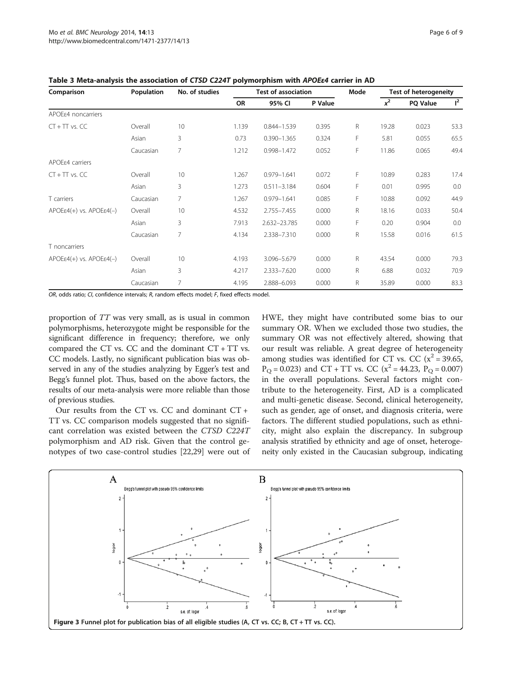| Comparison                  | Population | No. of studies | <b>Test of association</b> |                 |         | Mode | <b>Test of heterogeneity</b> |                 |       |
|-----------------------------|------------|----------------|----------------------------|-----------------|---------|------|------------------------------|-----------------|-------|
|                             |            |                | OR                         | 95% CI          | P Value |      | $x^2$                        | <b>PQ Value</b> | $1^2$ |
| APOE a noncarriers          |            |                |                            |                 |         |      |                              |                 |       |
| $CT + TT$ vs. $CC$          | Overall    | 10             | 1.139                      | 0.844-1.539     | 0.395   | R    | 19.28                        | 0.023           | 53.3  |
|                             | Asian      | 3              | 0.73                       | $0.390 - 1.365$ | 0.324   | F    | 5.81                         | 0.055           | 65.5  |
|                             | Caucasian  | 7              | 1.212                      | $0.998 - 1.472$ | 0.052   | F    | 11.86                        | 0.065           | 49.4  |
| APOE <sub>84</sub> carriers |            |                |                            |                 |         |      |                              |                 |       |
| $CT + TT$ vs. $CC$          | Overall    | 10             | 1.267                      | 0.979-1.641     | 0.072   | F    | 10.89                        | 0.283           | 17.4  |
|                             | Asian      | 3              | 1.273                      | $0.511 - 3.184$ | 0.604   | F    | 0.01                         | 0.995           | 0.0   |
| T carriers                  | Caucasian  | 7              | 1.267                      | $0.979 - 1.641$ | 0.085   | F    | 10.88                        | 0.092           | 44.9  |
| $APOEE4(+)$ vs. $APOEE4(-)$ | Overall    | 10             | 4.532                      | 2.755-7.455     | 0.000   | R    | 18.16                        | 0.033           | 50.4  |
|                             | Asian      | 3              | 7.913                      | 2.632-23.785    | 0.000   | F    | 0.20                         | 0.904           | 0.0   |
|                             | Caucasian  | 7              | 4.134                      | 2.338-7.310     | 0.000   | R    | 15.58                        | 0.016           | 61.5  |
| T noncarriers               |            |                |                            |                 |         |      |                              |                 |       |
| $APOEE4(+)$ vs. $APOEE4(-)$ | Overall    | 10             | 4.193                      | 3.096-5.679     | 0.000   | R    | 43.54                        | 0.000           | 79.3  |
|                             | Asian      | 3              | 4.217                      | 2.333-7.620     | 0.000   | R    | 6.88                         | 0.032           | 70.9  |
|                             | Caucasian  | 7              | 4.195                      | 2.888-6.093     | 0.000   | R    | 35.89                        | 0.000           | 83.3  |

<span id="page-5-0"></span>Table 3 Meta-analysis the association of CTSD C224T polymorphism with APOEε4 carrier in AD

OR, odds ratio; CI, confidence intervals; R, random effects model; F, fixed effects model.

proportion of TT was very small, as is usual in common polymorphisms, heterozygote might be responsible for the significant difference in frequency; therefore, we only compared the CT vs. CC and the dominant CT + TT vs. CC models. Lastly, no significant publication bias was observed in any of the studies analyzing by Egger's test and Begg's funnel plot. Thus, based on the above factors, the results of our meta-analysis were more reliable than those of previous studies.

Our results from the CT vs. CC and dominant CT + TT vs. CC comparison models suggested that no significant correlation was existed between the CTSD C224T polymorphism and AD risk. Given that the control genotypes of two case-control studies [[22,29\]](#page-7-0) were out of HWE, they might have contributed some bias to our summary OR. When we excluded those two studies, the summary OR was not effectively altered, showing that our result was reliable. A great degree of heterogeneity among studies was identified for CT vs. CC ( $x^2$  = 39.65,  $P_{\Omega} = 0.023$ ) and CT + TT vs. CC ( $x^2 = 44.23$ ,  $P_{\Omega} = 0.007$ ) in the overall populations. Several factors might contribute to the heterogeneity. First, AD is a complicated and multi-genetic disease. Second, clinical heterogeneity, such as gender, age of onset, and diagnosis criteria, were factors. The different studied populations, such as ethnicity, might also explain the discrepancy. In subgroup analysis stratified by ethnicity and age of onset, heterogeneity only existed in the Caucasian subgroup, indicating

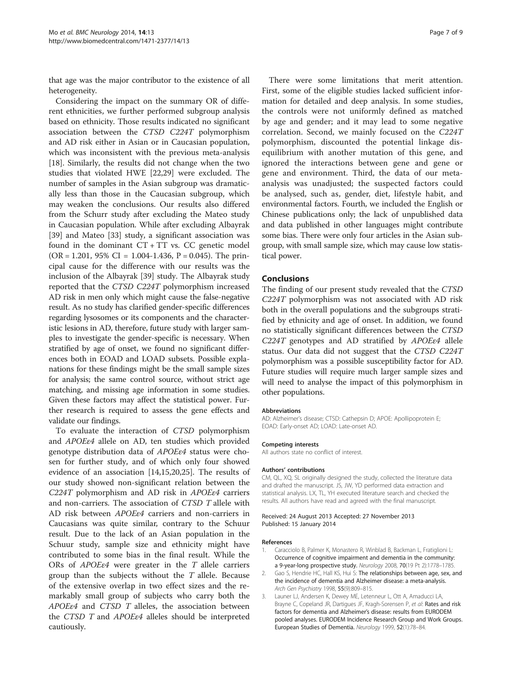<span id="page-6-0"></span>that age was the major contributor to the existence of all heterogeneity.

Considering the impact on the summary OR of different ethnicities, we further performed subgroup analysis based on ethnicity. Those results indicated no significant association between the CTSD C224T polymorphism and AD risk either in Asian or in Caucasian population, which was inconsistent with the previous meta-analysis [[18\]](#page-7-0). Similarly, the results did not change when the two studies that violated HWE [[22,29\]](#page-7-0) were excluded. The number of samples in the Asian subgroup was dramatically less than those in the Caucasian subgroup, which may weaken the conclusions. Our results also differed from the Schurr study after excluding the Mateo study in Caucasian population. While after excluding Albayrak [[39\]](#page-7-0) and Mateo [[33](#page-7-0)] study, a significant association was found in the dominant  $CT + TT$  vs.  $CC$  genetic model  $(OR = 1.201, 95\% CI = 1.004-1.436, P = 0.045)$ . The principal cause for the difference with our results was the inclusion of the Albayrak [[39](#page-7-0)] study. The Albayrak study reported that the CTSD C224T polymorphism increased AD risk in men only which might cause the false-negative result. As no study has clarified gender-specific differences regarding lysosomes or its components and the characteristic lesions in AD, therefore, future study with larger samples to investigate the gender-specific is necessary. When stratified by age of onset, we found no significant differences both in EOAD and LOAD subsets. Possible explanations for these findings might be the small sample sizes for analysis; the same control source, without strict age matching, and missing age information in some studies. Given these factors may affect the statistical power. Further research is required to assess the gene effects and validate our findings.

To evaluate the interaction of CTSD polymorphism and APOEε4 allele on AD, ten studies which provided genotype distribution data of APOEε4 status were chosen for further study, and of which only four showed evidence of an association [\[14,15,20,25](#page-7-0)]. The results of our study showed non-significant relation between the C224T polymorphism and AD risk in APOEε4 carriers and non-carriers. The association of CTSD T allele with AD risk between APOEε4 carriers and non-carriers in Caucasians was quite similar, contrary to the Schuur result. Due to the lack of an Asian population in the Schuur study, sample size and ethnicity might have contributed to some bias in the final result. While the ORs of  $APOE\epsilon4$  were greater in the T allele carriers group than the subjects without the  $T$  allele. Because of the extensive overlap in two effect sizes and the remarkably small group of subjects who carry both the APOEε4 and CTSD T alleles, the association between the CTSD T and APOEε4 alleles should be interpreted cautiously.

There were some limitations that merit attention. First, some of the eligible studies lacked sufficient information for detailed and deep analysis. In some studies, the controls were not uniformly defined as matched by age and gender; and it may lead to some negative correlation. Second, we mainly focused on the C224T polymorphism, discounted the potential linkage disequilibrium with another mutation of this gene, and ignored the interactions between gene and gene or gene and environment. Third, the data of our metaanalysis was unadjusted; the suspected factors could be analysed, such as, gender, diet, lifestyle habit, and environmental factors. Fourth, we included the English or Chinese publications only; the lack of unpublished data and data published in other languages might contribute some bias. There were only four articles in the Asian subgroup, with small sample size, which may cause low statistical power.

#### Conclusions

The finding of our present study revealed that the CTSD C224T polymorphism was not associated with AD risk both in the overall populations and the subgroups stratified by ethnicity and age of onset. In addition, we found no statistically significant differences between the CTSD C224T genotypes and AD stratified by APOEε4 allele status. Our data did not suggest that the CTSD C224T polymorphism was a possible susceptibility factor for AD. Future studies will require much larger sample sizes and will need to analyse the impact of this polymorphism in other populations.

#### Abbreviations

AD: Alzheimer's disease; CTSD: Cathepsin D; APOE: Apollipoprotein E; EOAD: Early-onset AD; LOAD: Late-onset AD.

#### Competing interests

All authors state no conflict of interest.

#### Authors' contributions

CM, QL, XQ, SL originally designed the study, collected the literature data and drafted the manuscript. JS, JW, YD performed data extraction and statistical analysis. LX, TL, YH executed literature search and checked the results. All authors have read and agreed with the final manuscript.

#### Received: 24 August 2013 Accepted: 27 November 2013 Published: 15 January 2014

#### References

- 1. Caracciolo B, Palmer K, Monastero R, Winblad B, Backman L, Fratiglioni L: Occurrence of cognitive impairment and dementia in the community: a 9-year-long prospective study. Neurology 2008, 70(19 Pt 2):1778–1785.
- 2. Gao S, Hendrie HC, Hall KS, Hui S: The relationships between age, sex, and the incidence of dementia and Alzheimer disease: a meta-analysis. Arch Gen Psychiatry 1998, 55(9):809–815.
- 3. Launer LJ, Andersen K, Dewey ME, Letenneur L, Ott A, Amaducci LA, Brayne C, Copeland JR, Dartigues JF, Kragh-Sorensen P, et al: Rates and risk factors for dementia and Alzheimer's disease: results from EURODEM pooled analyses. EURODEM Incidence Research Group and Work Groups. European Studies of Dementia. Neurology 1999, 52(1):78–84.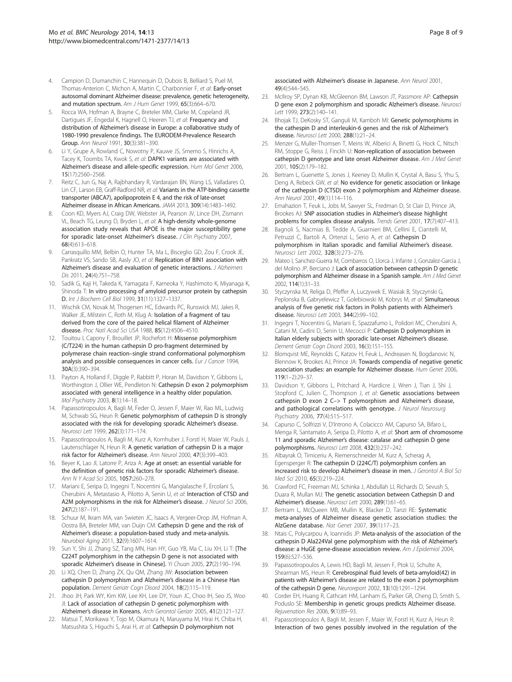- <span id="page-7-0"></span>4. Campion D, Dumanchin C, Hannequin D, Dubois B, Belliard S, Puel M, Thomas-Anterion C, Michon A, Martin C, Charbonnier F, et al: Early-onset autosomal dominant Alzheimer disease: prevalence, genetic heterogeneity, and mutation spectrum. Am J Hum Genet 1999, 65(3):664–670.
- 5. Rocca WA, Hofman A, Brayne C, Breteler MM, Clarke M, Copeland JR, Dartigues JF, Engedal K, Hagnell O, Heeren TJ, et al: Frequency and distribution of Alzheimer's disease in Europe: a collaborative study of 1980-1990 prevalence findings. The EURODEM-Prevalence Research Group. Ann Neurol 1991, 30(3):381–390.
- 6. Li Y, Grupe A, Rowland C, Nowotny P, Kauwe JS, Smemo S, Hinrichs A, Tacey K, Toombs TA, Kwok S, et al: DAPK1 variants are associated with Alzheimer's disease and allele-specific expression. Hum Mol Genet 2006, 15(17):2560–2568.
- 7. Reitz C, Jun G, Naj A, Rajbhandary R, Vardarajan BN, Wang LS, Valladares O, Lin CF, Larson EB, Graff-Radford NR, et al: Variants in the ATP-binding cassette transporter (ABCA7), apolipoprotein E 4, and the risk of late-onset Alzheimer disease in African Americans. JAMA 2013, 309(14):1483–1492.
- Coon KD, Myers AJ, Craig DW, Webster JA, Pearson JV, Lince DH, Zismann VL, Beach TG, Leung D, Bryden L, et al: A high-density whole-genome association study reveals that APOE is the major susceptibility gene for sporadic late-onset Alzheimer's disease. J Clin Psychiatry 2007, 68(4):613–618.
- 9. Carrasquillo MM, Belbin O, Hunter TA, Ma L, Bisceglio GD, Zou F, Crook JE, Pankratz VS, Sando SB, Aasly JO, et al: Replication of BIN1 association with Alzheimer's disease and evaluation of genetic interactions. J Alzheimers Dis 2011, 24(4):751–758.
- 10. Sadik G, Kaji H, Takeda K, Yamagata F, Kameoka Y, Hashimoto K, Miyanaga K, Shinoda T: In vitro processing of amyloid precursor protein by cathepsin D. Int J Biochem Cell Biol 1999, 31(11):1327–1337.
- 11. Wischik CM, Novak M, Thogersen HC, Edwards PC, Runswick MJ, Jakes R, Walker JE, Milstein C, Roth M, Klug A: Isolation of a fragment of tau derived from the core of the paired helical filament of Alzheimer disease. Proc Natl Acad Sci USA 1988, 85(12):4506–4510.
- 12. Touitou I, Capony F, Brouillet JP, Rochefort H: Missense polymorphism (C/T224) in the human cathepsin D pro-fragment determined by polymerase chain reaction–single strand conformational polymorphism analysis and possible consequences in cancer cells. Eur J Cancer 1994, 30A(3):390–394.
- 13. Payton A, Holland F, Diggle P, Rabbitt P, Horan M, Davidson Y, Gibbons L, Worthington J, Ollier WE, Pendleton N: Cathepsin D exon 2 polymorphism associated with general intelligence in a healthy older population. Mol Psychiatry 2003, 8(1):14–18.
- 14. Papassotiropoulos A, Bagli M, Feder O, Jessen F, Maier W, Rao ML, Ludwig M, Schwab SG, Heun R: Genetic polymorphism of cathepsin D is strongly associated with the risk for developing sporadic Alzheimer's disease. Neurosci Lett 1999, 262(3):171–174.
- 15. Papassotiropoulos A, Bagli M, Kurz A, Kornhuber J, Forstl H, Maier W, Pauls J, Lautenschlager N, Heun R: A genetic variation of cathepsin D is a major risk factor for Alzheimer's disease. Ann Neurol 2000, 47(3):399–403.
- 16. Beyer K, Lao Jl, Latorre P, Ariza A: Age at onset: an essential variable for the definition of genetic risk factors for sporadic Alzheimer's disease. Ann N Y Acad Sci 2005, 1057:260–278.
- 17. Mariani E, Seripa D, Ingegni T, Nocentini G, Mangialasche F, Ercolani S, Cherubini A, Metastasio A, Pilotto A, Senin U, et al: Interaction of CTSD and A2M polymorphisms in the risk for Alzheimer's disease. J Neurol Sci 2006, 247(2):187–191.
- 18. Schuur M, Ikram MA, van Swieten JC, Isaacs A, Vergeer-Drop JM, Hofman A, Oostra BA, Breteler MM, van Duijn CM: Cathepsin D gene and the risk of Alzheimer's disease: a population-based study and meta-analysis. Neurobiol Aging 2011, 32(9):1607–1614.
- 19. Sun Y, Shi JJ, Zhang SZ, Tang MN, Han HY, Guo YB, Ma C, Liu XH, Li T: [The C224T polymorphism in the cathepsin D gene is not associated with sporadic Alzheimer's disease in Chinese]. Yi Chuan 2005, 27(2):190–194.
- 20. Li XQ, Chen D, Zhang ZX, Qu QM, Zhang JW: Association between cathepsin D polymorphism and Alzheimer's disease in a Chinese Han population. Dement Geriatr Cogn Disord 2004, 18(2):115–119.
- 21. Jhoo JH, Park WY, Kim KW, Lee KH, Lee DY, Youn JC, Choo IH, Seo JS, Woo JI: Lack of association of cathepsin D genetic polymorphism with Alzheimer's disease in Koreans. Arch Gerontol Geriatr 2005, 41(2):121–127.
- 22. Matsui T, Morikawa Y, Tojo M, Okamura N, Maruyama M, Hirai H, Chiba H, Matsushita S, Higuchi S, Arai H, et al: Cathepsin D polymorphism not

associated with Alzheimer's disease in Japanese. Ann Neurol 2001, 49(4):544–545.

- 23. McIlroy SP, Dynan KB, McGleenon BM, Lawson JT, Passmore AP: Cathepsin D gene exon 2 polymorphism and sporadic Alzheimer's disease. Neurosci Lett 1999, 273(2):140–141.
- 24. Bhojak TJ, DeKosky ST, Ganguli M, Kamboh MI: Genetic polymorphisms in the cathespin D and interleukin-6 genes and the risk of Alzheimer's disease. Neurosci Lett 2000, 288(1):21–24.
- 25. Menzer G, Muller-Thomsen T, Meins W, Alberici A, Binetti G, Hock C, Nitsch RM, Stoppe G, Reiss J, Finckh U: Non-replication of association between cathepsin D genotype and late onset Alzheimer disease. Am J Med Genet 2001, 105(2):179–182.
- 26. Bertram L, Guenette S, Jones J, Keeney D, Mullin K, Crystal A, Basu S, Yhu S, Deng A, Rebeck GW, et al: No evidence for genetic association or linkage of the cathepsin D (CTSD) exon 2 polymorphism and Alzheimer disease. Ann Neurol 2001, 49(1):114–116.
- 27. Emahazion T, Feuk L, Jobs M, Sawyer SL, Fredman D, St Clair D, Prince JA, Brookes AJ: SNP association studies in Alzheimer's disease highlight problems for complex disease analysis. Trends Genet 2001, 17(7):407-413.
- 28. Bagnoli S, Nacmias B, Tedde A, Guarnieri BM, Cellini E, Ciantelli M, Petruzzi C, Bartoli A, Ortenzi L, Serio A, et al: Cathepsin D polymorphism in Italian sporadic and familial Alzheimer's disease. Neurosci Lett 2002, 328(3):273–276.
- 29. Mateo I, Sanchez-Guerra M, Combarros O, Llorca J, Infante J, Gonzalez-Garcia J, del Molino JP, Berciano J: Lack of association between cathepsin D genetic polymorphism and Alzheimer disease in a Spanish sample. Am J Med Genet 2002, 114(1):31–33.
- 30. Styczynska M, Religa D, Pfeffer A, Luczywek E, Wasiak B, Styczynski G, Peplonska B, Gabryelewicz T, Golebiowski M, Kobrys M, et al: Simultaneous analysis of five genetic risk factors in Polish patients with Alzheimer's disease. Neurosci Lett 2003, 344(2):99–102.
- 31. Ingegni T, Nocentini G, Mariani E, Spazzafumo L, Polidori MC, Cherubini A, Catani M, Cadini D, Senin U, Mecocci P: Cathepsin D polymorphism in Italian elderly subjects with sporadic late-onset Alzheimer's disease. Dement Geriatr Cogn Disord 2003, 16(3):151–155.
- 32. Blomqvist ME, Reynolds C, Katzov H, Feuk L, Andreasen N, Bogdanovic N, Blennow K, Brookes AJ, Prince JA: Towards compendia of negative genetic association studies: an example for Alzheimer disease. Hum Genet 2006, 119(1–2):29–37.
- 33. Davidson Y, Gibbons L, Pritchard A, Hardicre J, Wren J, Tian J, Shi J, Stopford C, Julien C, Thompson J, et al: Genetic associations between cathepsin D exon 2 C–> T polymorphism and Alzheimer's disease, and pathological correlations with genotype. J Neurol Neurosurg Psychiatry 2006, 77(4):515–517.
- 34. Capurso C, Solfrizzi V, D'Introno A, Colacicco AM, Capurso SA, Bifaro L, Menga R, Santamato A, Seripa D, Pilotto A, et al: Short arm of chromosome 11 and sporadic Alzheimer's disease: catalase and cathepsin D gene polymorphisms. Neurosci Lett 2008, 432(3):237–242.
- 35. Albayrak O, Tirniceriu A, Riemenschneider M, Kurz A, Scherag A, Egensperger R: The cathepsin D (224C/T) polymorphism confers an increased risk to develop Alzheimer's disease in men. J Gerontol A Biol Sci Med Sci 2010, 65(3):219–224.
- 36. Crawford FC, Freeman MJ, Schinka J, Abdullah LI, Richards D, Sevush S, Duara R, Mullan MJ: The genetic association between Cathepsin D and Alzheimer's disease. Neurosci Lett 2000, 289(1):61–65.
- 37. Bertram L, McQueen MB, Mullin K, Blacker D, Tanzi RE: Systematic meta-analyses of Alzheimer disease genetic association studies: the AlzGene database. Nat Genet 2007, 39(1):17–23.
- 38. Ntais C, Polycarpou A, Ioannidis JP: Meta-analysis of the association of the cathepsin D Ala224Val gene polymorphism with the risk of Alzheimer's disease: a HuGE gene-disease association review. Am J Epidemiol 2004, 159(6):527–536.
- 39. Papassotiropoulos A, Lewis HD, Bagli M, Jessen F, Ptok U, Schulte A, Shearman MS, Heun R: Cerebrospinal fluid levels of beta-amyloid(42) in patients with Alzheimer's disease are related to the exon 2 polymorphism of the cathepsin D gene. Neuroreport 2002, 13(10):1291–1294.
- 40. Corder EH, Huang R, Cathcart HM, Lanham IS, Parker GR, Cheng D, Smith S, Poduslo SE: Membership in genetic groups predicts Alzheimer disease. Rejuvenation Res 2006, 9(1):89–93.
- 41. Papassotiropoulos A, Bagli M, Jessen F, Maier W, Forstl H, Kurz A, Heun R: Interaction of two genes possibly involved in the regulation of the